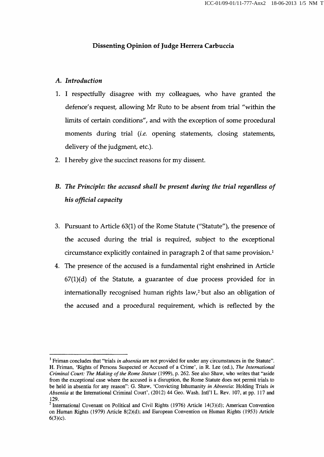## Dissenting Opinion of Judge Herrera Carbuccia

## A. Introduction

- 1. I respectfully disagree with my colleagues, who have granted the defence's request, allowing Mr Ruto to be absent from trial "within the limits of certain conditions", and with the exception of some procedural moments during trial (i.e. opening statements, closing statements, delivery of the judgment, etc.).
- 2. I hereby give the succinct reasons for my dissent.

## B. The Principle: the accused shall he present during the trial regardless of his official capacity

- 3. Pursuant to Article 63(1) of the Rome Statute ("Statute"), the presence of the accused during the trial is required, subject to the exceptional circumstance explicitly contained in paragraph 2 of that same provision.<sup>1</sup>
- 4. The presence of the accused is a fundamental right enshrined in Article  $67(1)(d)$  of the Statute, a guarantee of due process provided for in internationally recognised human rights law,<sup>2</sup> but also an obligation of the accused and a procedural requirement, which is reflected by the

<sup>&#</sup>x27; Friman concludes that "trials in absentia are not provided for under any circumstances in the Statute". H. Friman, 'Rights of Persons Suspected or Accused of a Crime', in R. Lee (ed.). The International Criminal Court: The Making of the Rome Statute (1999), p. 262. See also Shaw, who writes that "aside from the exceptional case where the accused is a disruption, the Rome Statute does not permit trials to be held in absentia for any reason": G. Shaw, 'Convicting Inhumanity in Absentia: Holding Trials in Absentia at the International Criminal Court', (2012) 44 Geo. Wash. Inti'l L. Rev. 107, at pp. 117 and 129.

<sup>&</sup>lt;sup>2</sup> International Covenant on Political and Civil Rights (1976) Article 14(3)(d); American Convention on Human Rights (1979) Article 8(2)(d); and European Convention on Human Rights (1953) Article 6(3)(c).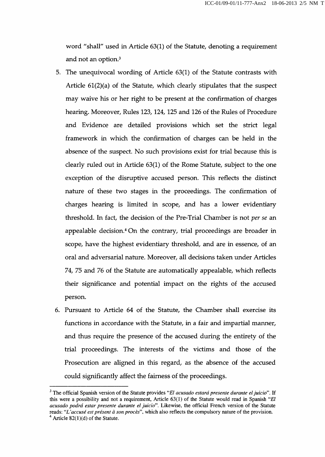word "shall" used in Article 63(1) of the Statute, denoting a requirement and not an option.<sup>3</sup>

- 5. The unequivocal wording of Article 63(1) of the Statute contrasts with Article  $61(2)(a)$  of the Statute, which clearly stipulates that the suspect may waive his or her right to be present at the confirmation of charges hearing. Moreover, Rules 123, 124, 125 and 126 of the Rules of Procedure and Evidence are detailed provisions which set the strict legal framework in which the confirmation of charges can be held in the absence of the suspect. No such provisions exist for trial because this is clearly ruled out in Article 63(1) of the Rome Statute, subject to the one exception of the disruptive accused person. This reflects the distinct nature of these two stages in the proceedings. The confirmation of charges hearing is limited in scope, and has a lower evidentiary threshold. In fact, the decision of the Pre-Trial Chamber is not per se an appealable decision.<sup>4</sup> On the contrary, trial proceedings are broader in scope, have the highest evidentiary threshold, and are in essence, of an oral and adversarial nature. Moreover, all decisions taken under Articles 74, 75 and 76 of the Statute are automatically appealable, which reflects their significance and potential impact on the rights of the accused person.
- 6. Pursuant to Article 64 of the Statute, the Chamber shall exercise its functions in accordance with the Statute, in a fair and impartial manner, and thus require the presence of the accused during the entirety of the trial proceedings. The interests of the victims and those of the Prosecution are aligned in this regard, as the absence of the accused could significantly affect the fairness of the proceedings.

 $3$  The official Spanish version of the Statute provides "El acusado estará presente durante el juicio". If this were a possibility and not a requirement. Article  $63(1)$  of the Statute would read in Spanish "*El* acusado podrá estar presente durante el juicio". Likewise, the official French version of the Statute reads: "L'accusé est présent à son procès", which also reflects the compulsory nature of the provision.  $4$  Article 82(1)(d) of the Statute.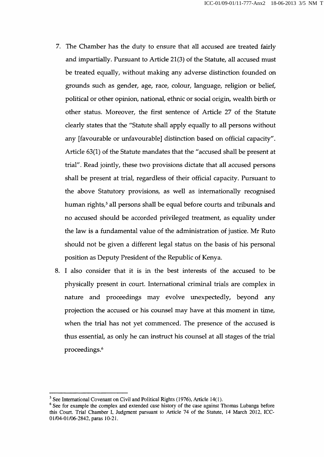- 7. The Chamber has the duty to ensure that all accused are treated fairly and impartially. Pursuant to Article 21(3) of the Statute, all accused must be treated equally, without making any adverse distinction founded on grounds such as gender, age, race, colour, language, religion or belief, political or other opinion, national, ethnic or social origin, wealth birth or other status. Moreover, the first sentence of Article 27 of the Statute clearly states that the "Statute shall apply equally to all persons without any [favourable or unfavourable] distinction based on official capacity". Article 63(1) of the Statute mandates that the "accused shall be present at trial". Read jointly, these two provisions dictate that all accused persons shall be present at trial, regardless of their official capacity. Pursuant to the above Statutory provisions, as well as internationally recognised human rights,<sup>5</sup> all persons shall be equal before courts and tribunals and no accused should be accorded privileged treatment, as equality under the law is a fundamental value of the administration of justice. Mr Ruto should not be given a different legal status on the basis of his personal position as Deputy President of the Republic of Kenya.
- 8. I also consider that it is in the best interests of the accused to be physically present in court. International criminal trials are complex in nature and proceedings may evolve unexpectedly, beyond any projection the accused or his counsel may have at this moment in time, when the trial has not yet commenced. The presence of the accused is thus essential, as only he can instruct his counsel at all stages of the trial proceedings.<sup>6</sup>

 $<sup>5</sup>$  See International Covenant on Civil and Political Rights (1976), Article 14(1).</sup>

 $<sup>6</sup>$  See for example the complex and extended case history of the case against Thomas Lubanga before</sup> this Court. Trial Chamber I, Judgment pursuant to Article 74 of the Statute, 14 March 2012, ICC-01/04-01/06-2842, paras 10-21.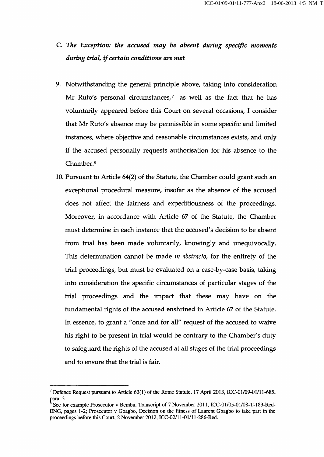## c. The Exception: the accused may be absent during specific moments during trial, if certain conditions are met

- 9, Notwithstanding the general principle above, taking into consideration Mr Ruto's personal circumstances, $<sup>7</sup>$  as well as the fact that he has</sup> voluntarily appeared before this Court on several occasions, I consider that Mr Ruto's absence may be permissible in some specific and limited instances, where objective and reasonable circumstances exists, and only if the accused personally requests authorisation for his absence to the Chamber.<sup>8</sup>
- 10. Pursuant to Article 64(2) of the Statute, the Chamber could grant such an exceptional procedural measure, insofar as the absence of the accused does not affect the fairness and expeditiousness of the proceedings. Moreover, in accordance with Article 67 of the Statute, the Chamber must determine in each instance that the accused's decision to be absent from trial has been made voluntarily, knowingly and unequivocally. This determination cannot be made in abstracto, for the entirety of the trial proceedings, but must be evaluated on a case-by-case basis, taking into consideration the specific circumstances of particular stages of the trial proceedings and the impact that these may have on the fundamental rights of the accused enshrined in Article 67 of the Statute. In essence, to grant a "once and for all" request of the accused to waive his right to be present in trial would be contrary to the Chamber's duty to safeguard the rights of the accused at all stages of the trial proceedings and to ensure that the trial is fair.

 $^7$  Defence Request pursuant to Article 63(1) of the Rome Statute, 17 April 2013, ICC-01/09-01/11-685, para. 3.

See for example Prosecutor v Bemba, Transcript of 7 November 2011, ICC-01/05-01/08-T-183-Red-ENG, pages 1-2; Prosecutor v Gbagbo, Decision on the fitness of Laurent Gbagbo to take part in the proceedings before this Court, 2 November 2012, ICC-02/11-01/11-286-Red.